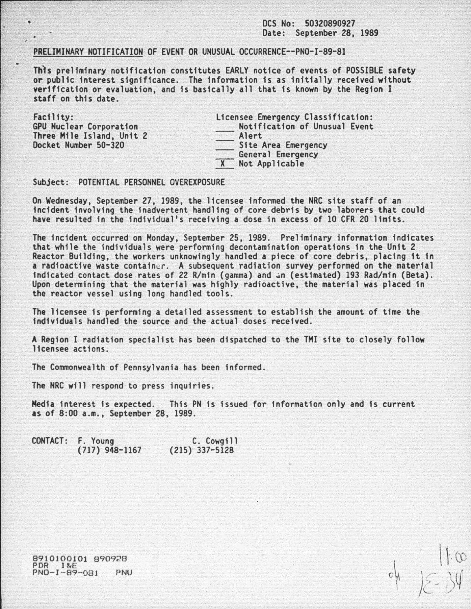## OCS No: 50320890927 Date: September 28, 1989

## PRELIMINARY NOTIFICATION OF EVENT OR VNUSUAL OCCURRENCE--PNO-I-89-81

Th)s preliminary notification constitutes EARLY notice of events of POSSIBLE safety or public interest significance. The information is as initially received without verification or evaluation, and is basically all that 1s known by the Region I staff on this date.

| Facility:                 | Licensee Emergency Classification:<br>Notification of Unusual Event |  |  |
|---------------------------|---------------------------------------------------------------------|--|--|
| GPU Nuclear Corporation   |                                                                     |  |  |
| Three Mile Island, Unit 2 | Alert                                                               |  |  |
| Docket Number 50-320      | Site Area Emergency                                                 |  |  |
|                           | General Emergency                                                   |  |  |
|                           | X Not Applicable                                                    |  |  |

## Subject: POTENTIAL PERSONNEL OVEREXPOSURE

..

ä

On Wednesday, September 27, 1989, the licensee informed the NRC site staff of an incident involving the inadvertent handling of core debris by two laborers that could have resulted in the individual's receiving a dose in excess of 10 CFR 20 limits.

The incident occurred on Monday, September 25, 1989. Preliminary information indicates that while the individuals were performing decontamination operations in the Unit 2 Reactor Building, the workers unknowingly handled a piece of core debris, placing 1t in a radioactive waste container. A subsequent radiation survey performed on the material indicated contact dose rates of 22 R/min (gamma) and an (estimated) 193 Rad/min (Beta). Upon determining that the material was highly radioactive, the material was placed in the reactor vessel using long handled tools.

The licensee is performing a detailed assessment to establish the amount of time the individuals handled the source and the actual doses received .

A Region I radiation specialist has been dispatched to the THI site to closely follow licensee actions.

The Commonwealth of Pennsylvania has been informed.

The NRC will respond to press inquiries.

Media interest is expected. This PN is issued for information only and is current as of 8:00a.m., September 28, 1989.

| CONTACT: F. Young | C. Cowgill       |  |
|-------------------|------------------|--|
| $(717)$ 948-1167  | $(215)$ 337-5128 |  |

 $-44$  /2 34

8910100101 890928 PDR 1 &E PNO- I - 89-08J PNU